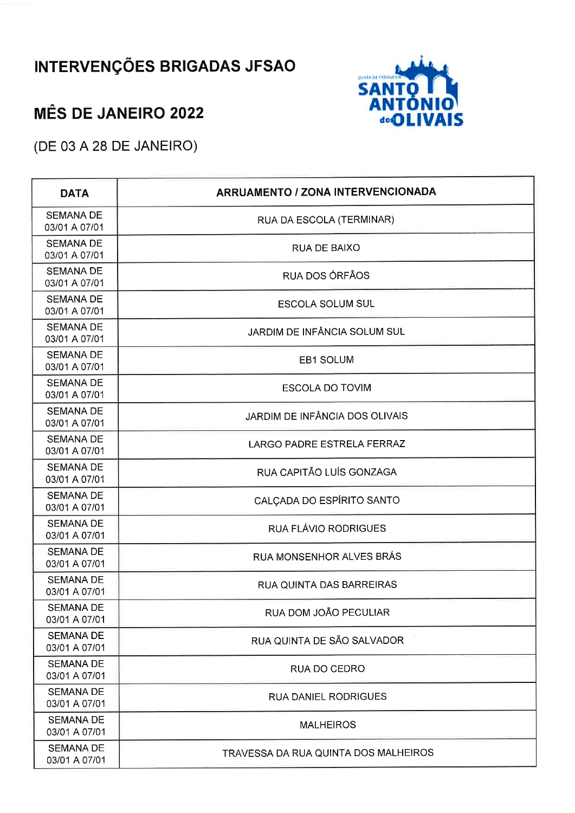## **INTERVENÇÕES BRIGADAS JFSAO**



## **MÊS DE JANEIRO 2022**

(DE 03 A 28 DE JANEIRO)

| <b>DATA</b>                       | <b>ARRUAMENTO / ZONA INTERVENCIONADA</b> |
|-----------------------------------|------------------------------------------|
| <b>SEMANA DE</b><br>03/01 A 07/01 | RUA DA ESCOLA (TERMINAR)                 |
| <b>SEMANA DE</b><br>03/01 A 07/01 | RUA DE BAIXO                             |
| <b>SEMANA DE</b><br>03/01 A 07/01 | RUA DOS ÓRFÃOS                           |
| <b>SEMANA DE</b><br>03/01 A 07/01 | <b>ESCOLA SOLUM SUL</b>                  |
| <b>SEMANA DE</b><br>03/01 A 07/01 | JARDIM DE INFÂNCIA SOLUM SUL             |
| <b>SEMANA DE</b><br>03/01 A 07/01 | EB1 SOLUM                                |
| <b>SEMANA DE</b><br>03/01 A 07/01 | <b>ESCOLA DO TOVIM</b>                   |
| <b>SEMANA DE</b><br>03/01 A 07/01 | JARDIM DE INFÂNCIA DOS OLIVAIS           |
| <b>SEMANA DE</b><br>03/01 A 07/01 | <b>LARGO PADRE ESTRELA FERRAZ</b>        |
| <b>SEMANA DE</b><br>03/01 A 07/01 | RUA CAPITÃO LUÍS GONZAGA                 |
| <b>SEMANA DE</b><br>03/01 A 07/01 | CALÇADA DO ESPÍRITO SANTO                |
| <b>SEMANA DE</b><br>03/01 A 07/01 | RUA FLÁVIO RODRIGUES                     |
| <b>SEMANA DE</b><br>03/01 A 07/01 | RUA MONSENHOR ALVES BRÁS                 |
| <b>SEMANA DE</b><br>03/01 A 07/01 | RUA QUINTA DAS BARREIRAS                 |
| <b>SEMANA DE</b><br>03/01 A 07/01 | RUA DOM JOÃO PECULIAR                    |
| <b>SEMANA DE</b><br>03/01 A 07/01 | RUA QUINTA DE SÃO SALVADOR               |
| <b>SEMANA DE</b><br>03/01 A 07/01 | RUA DO CEDRO                             |
| <b>SEMANA DE</b><br>03/01 A 07/01 | <b>RUA DANIEL RODRIGUES</b>              |
| <b>SEMANA DE</b><br>03/01 A 07/01 | <b>MALHEIROS</b>                         |
| <b>SEMANA DE</b><br>03/01 A 07/01 | TRAVESSA DA RUA QUINTA DOS MALHEIROS     |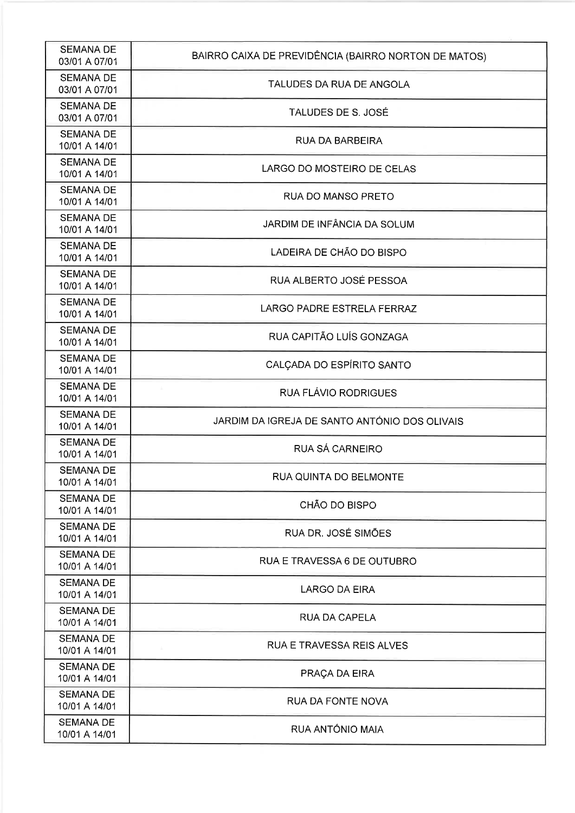| <b>SEMANA DE</b><br>03/01 A 07/01 | BAIRRO CAIXA DE PREVIDÊNCIA (BAIRRO NORTON DE MATOS) |
|-----------------------------------|------------------------------------------------------|
| <b>SEMANA DE</b><br>03/01 A 07/01 | TALUDES DA RUA DE ANGOLA                             |
| <b>SEMANA DE</b><br>03/01 A 07/01 | TALUDES DE S. JOSÉ                                   |
| <b>SEMANA DE</b><br>10/01 A 14/01 | RUA DA BARBEIRA                                      |
| <b>SEMANA DE</b><br>10/01 A 14/01 | LARGO DO MOSTEIRO DE CELAS                           |
| <b>SEMANA DE</b><br>10/01 A 14/01 | RUA DO MANSO PRETO                                   |
| <b>SEMANA DE</b><br>10/01 A 14/01 | JARDIM DE INFÂNCIA DA SOLUM                          |
| <b>SEMANA DE</b><br>10/01 A 14/01 | LADEIRA DE CHÃO DO BISPO                             |
| <b>SEMANA DE</b><br>10/01 A 14/01 | RUA ALBERTO JOSÉ PESSOA                              |
| <b>SEMANA DE</b><br>10/01 A 14/01 | <b>LARGO PADRE ESTRELA FERRAZ</b>                    |
| <b>SEMANA DE</b><br>10/01 A 14/01 | RUA CAPITÃO LUÍS GONZAGA                             |
| <b>SEMANA DE</b><br>10/01 A 14/01 | CALÇADA DO ESPÍRITO SANTO                            |
| <b>SEMANA DE</b><br>10/01 A 14/01 | RUA FLÁVIO RODRIGUES                                 |
| <b>SEMANA DE</b><br>10/01 A 14/01 | JARDIM DA IGREJA DE SANTO ANTÓNIO DOS OLIVAIS        |
| <b>SEMANA DE</b><br>10/01 A 14/01 | RUA SÁ CARNEIRO                                      |
| <b>SEMANA DE</b><br>10/01 A 14/01 | RUA QUINTA DO BELMONTE                               |
| <b>SEMANA DE</b><br>10/01 A 14/01 | CHÃO DO BISPO                                        |
| <b>SEMANA DE</b><br>10/01 A 14/01 | RUA DR. JOSÉ SIMÕES                                  |
| <b>SEMANA DE</b><br>10/01 A 14/01 | RUA E TRAVESSA 6 DE OUTUBRO                          |
| <b>SEMANA DE</b><br>10/01 A 14/01 | LARGO DA EIRA                                        |
| <b>SEMANA DE</b><br>10/01 A 14/01 | <b>RUA DA CAPELA</b>                                 |
| <b>SEMANA DE</b><br>10/01 A 14/01 | RUA E TRAVESSA REIS ALVES                            |
| <b>SEMANA DE</b><br>10/01 A 14/01 | PRAÇA DA EIRA                                        |
| <b>SEMANA DE</b><br>10/01 A 14/01 | <b>RUA DA FONTE NOVA</b>                             |
| <b>SEMANA DE</b><br>10/01 A 14/01 | RUA ANTÓNIO MAIA                                     |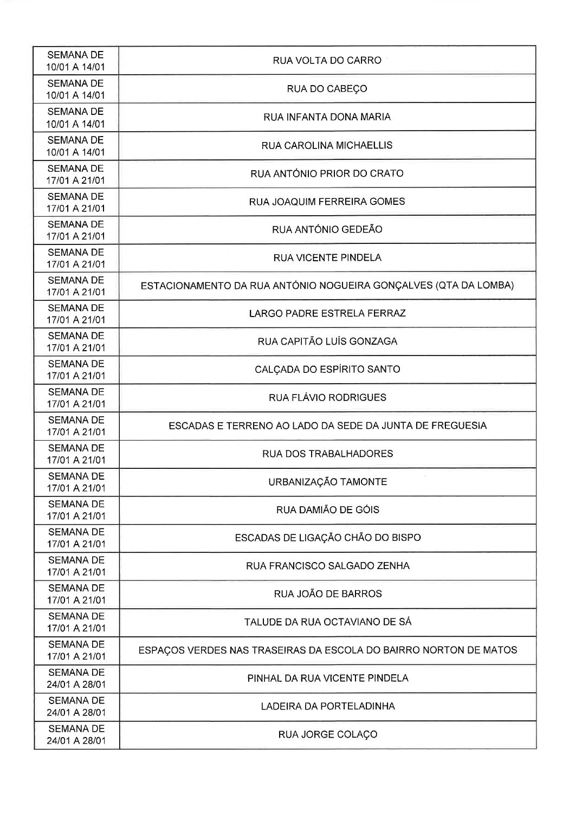| <b>SEMANA DE</b><br>10/01 A 14/01 | RUA VOLTA DO CARRO                                               |
|-----------------------------------|------------------------------------------------------------------|
| <b>SEMANA DE</b><br>10/01 A 14/01 | RUA DO CABEÇO                                                    |
| <b>SEMANA DE</b><br>10/01 A 14/01 | RUA INFANTA DONA MARIA                                           |
| <b>SEMANA DE</b><br>10/01 A 14/01 | <b>RUA CAROLINA MICHAELLIS</b>                                   |
| <b>SEMANA DE</b><br>17/01 A 21/01 | RUA ANTÓNIO PRIOR DO CRATO                                       |
| <b>SEMANA DE</b><br>17/01 A 21/01 | RUA JOAQUIM FERREIRA GOMES                                       |
| <b>SEMANA DE</b><br>17/01 A 21/01 | RUA ANTÓNIO GEDEÃO                                               |
| <b>SEMANA DE</b><br>17/01 A 21/01 | <b>RUA VICENTE PINDELA</b>                                       |
| <b>SEMANA DE</b><br>17/01 A 21/01 | ESTACIONAMENTO DA RUA ANTÓNIO NOGUEIRA GONÇALVES (QTA DA LOMBA)  |
| <b>SEMANA DE</b><br>17/01 A 21/01 | LARGO PADRE ESTRELA FERRAZ                                       |
| <b>SEMANA DE</b><br>17/01 A 21/01 | RUA CAPITÃO LUÍS GONZAGA                                         |
| <b>SEMANA DE</b><br>17/01 A 21/01 | CALÇADA DO ESPÍRITO SANTO                                        |
| <b>SEMANA DE</b><br>17/01 A 21/01 | RUA FLÁVIO RODRIGUES                                             |
| <b>SEMANA DE</b><br>17/01 A 21/01 | ESCADAS E TERRENO AO LADO DA SEDE DA JUNTA DE FREGUESIA          |
| <b>SEMANA DE</b><br>17/01 A 21/01 | RUA DOS TRABALHADORES                                            |
| <b>SEMANA DE</b><br>17/01 A 21/01 | URBANIZAÇÃO TAMONTE                                              |
| <b>SEMANA DE</b><br>17/01 A 21/01 | RUA DAMIÃO DE GÓIS                                               |
| <b>SEMANA DE</b><br>17/01 A 21/01 | ESCADAS DE LIGAÇÃO CHÃO DO BISPO                                 |
| <b>SEMANA DE</b><br>17/01 A 21/01 | RUA FRANCISCO SALGADO ZENHA                                      |
| <b>SEMANA DE</b><br>17/01 A 21/01 | RUA JOÃO DE BARROS                                               |
| <b>SEMANA DE</b><br>17/01 A 21/01 | TALUDE DA RUA OCTAVIANO DE SÁ                                    |
| <b>SEMANA DE</b><br>17/01 A 21/01 | ESPAÇOS VERDES NAS TRASEIRAS DA ESCOLA DO BAIRRO NORTON DE MATOS |
| <b>SEMANA DE</b><br>24/01 A 28/01 | PINHAL DA RUA VICENTE PINDELA                                    |
| <b>SEMANA DE</b><br>24/01 A 28/01 | LADEIRA DA PORTELADINHA                                          |
| <b>SEMANA DE</b><br>24/01 A 28/01 | RUA JORGE COLAÇO                                                 |